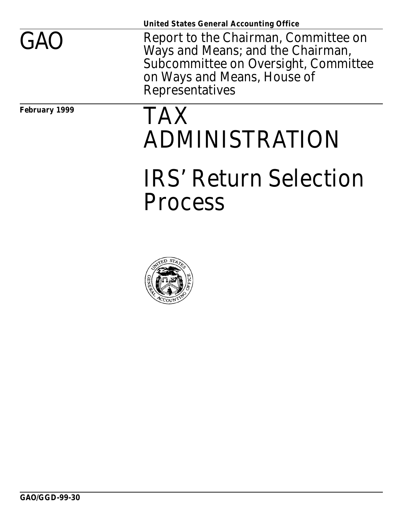|                      | <b>United States General Accounting Office</b>                                                                                                                             |
|----------------------|----------------------------------------------------------------------------------------------------------------------------------------------------------------------------|
| GAO                  | Report to the Chairman, Committee on<br>Ways and Means; and the Chairman,<br>Subcommittee on Oversight, Committee<br>on Ways and Means, House of<br><b>Representatives</b> |
| <b>February 1999</b> | <b>TAX</b><br><b>ADMINISTRATION</b>                                                                                                                                        |
|                      | <b>IRS' Return Selection</b><br>Process                                                                                                                                    |

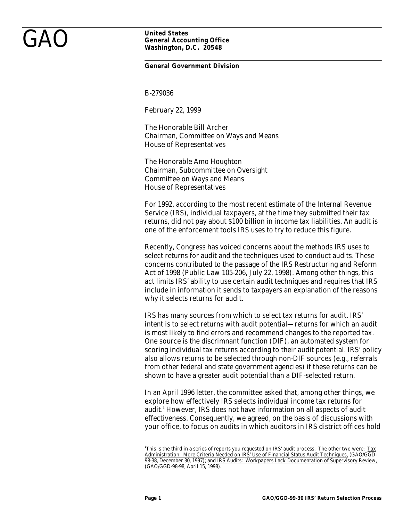# GAO

### **United States General Accounting Office Washington, D.C. 20548**

### **General Government Division**

B-279036

February 22, 1999

The Honorable Bill Archer Chairman, Committee on Ways and Means House of Representatives

The Honorable Amo Houghton Chairman, Subcommittee on Oversight Committee on Ways and Means House of Representatives

For 1992, according to the most recent estimate of the Internal Revenue Service (IRS), individual taxpayers, at the time they submitted their tax returns, did not pay about \$100 billion in income tax liabilities. An audit is one of the enforcement tools IRS uses to try to reduce this figure.

Recently, Congress has voiced concerns about the methods IRS uses to select returns for audit and the techniques used to conduct audits. These concerns contributed to the passage of the IRS Restructuring and Reform Act of 1998 (Public Law 105-206, July 22, 1998). Among other things, this act limits IRS' ability to use certain audit techniques and requires that IRS include in information it sends to taxpayers an explanation of the reasons why it selects returns for audit.

IRS has many sources from which to select tax returns for audit. IRS' intent is to select returns with audit potential—returns for which an audit is most likely to find errors and recommend changes to the reported tax. One source is the discrimnant function (DIF), an automated system for scoring individual tax returns according to their audit potential. IRS' policy also allows returns to be selected through non-DIF sources (e.g., referrals from other federal and state government agencies) if these returns can be shown to have a greater audit potential than a DIF-selected return.

In an April 1996 letter, the committee asked that, among other things, we explore how effectively IRS selects individual income tax returns for audit.<sup>1</sup> However, IRS does not have information on all aspects of audit effectiveness. Consequently, we agreed, on the basis of discussions with your office, to focus on audits in which auditors in IRS district offices hold

<sup>&</sup>lt;sup>1</sup>This is the third in a series of reports you requested on IRS' audit process. The other two were: Tax Administration: More Criteria Needed on IRS' Use of Financial Status Audit Techniques, (GAO/GGD-98-38, December 30, 1997); and IRS Audits: Workpapers Lack Documentation of Supervisory Review, (GAO/GGD-98-98, April 15, 1998).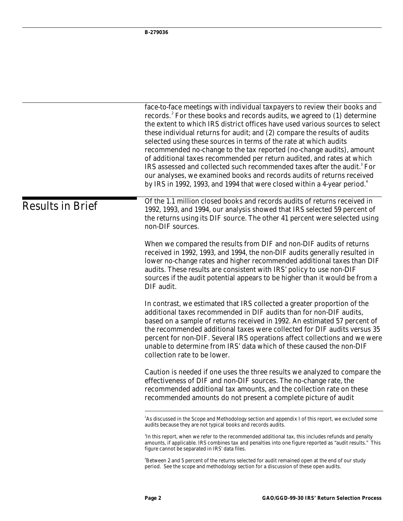|                         | face-to-face meetings with individual taxpayers to review their books and<br>records. <sup>2</sup> For these books and records audits, we agreed to (1) determine<br>the extent to which IRS district offices have used various sources to select<br>these individual returns for audit; and (2) compare the results of audits<br>selected using these sources in terms of the rate at which audits<br>recommended no-change to the tax reported (no-change audits), amount<br>of additional taxes recommended per return audited, and rates at which<br>IRS assessed and collected such recommended taxes after the audit. <sup>3</sup> For<br>our analyses, we examined books and records audits of returns received<br>by IRS in 1992, 1993, and 1994 that were closed within a 4-year period. <sup>4</sup> |
|-------------------------|----------------------------------------------------------------------------------------------------------------------------------------------------------------------------------------------------------------------------------------------------------------------------------------------------------------------------------------------------------------------------------------------------------------------------------------------------------------------------------------------------------------------------------------------------------------------------------------------------------------------------------------------------------------------------------------------------------------------------------------------------------------------------------------------------------------|
| <b>Results in Brief</b> | Of the 1.1 million closed books and records audits of returns received in<br>1992, 1993, and 1994, our analysis showed that IRS selected 59 percent of<br>the returns using its DIF source. The other 41 percent were selected using<br>non-DIF sources.                                                                                                                                                                                                                                                                                                                                                                                                                                                                                                                                                       |
|                         | When we compared the results from DIF and non-DIF audits of returns<br>received in 1992, 1993, and 1994, the non-DIF audits generally resulted in<br>lower no-change rates and higher recommended additional taxes than DIF<br>audits. These results are consistent with IRS' policy to use non-DIF<br>sources if the audit potential appears to be higher than it would be from a<br>DIF audit.                                                                                                                                                                                                                                                                                                                                                                                                               |
|                         | In contrast, we estimated that IRS collected a greater proportion of the<br>additional taxes recommended in DIF audits than for non-DIF audits,<br>based on a sample of returns received in 1992. An estimated 57 percent of<br>the recommended additional taxes were collected for DIF audits versus 35<br>percent for non-DIF. Several IRS operations affect collections and we were<br>unable to determine from IRS' data which of these caused the non-DIF<br>collection rate to be lower.                                                                                                                                                                                                                                                                                                                 |
|                         | Caution is needed if one uses the three results we analyzed to compare the<br>effectiveness of DIF and non-DIF sources. The no-change rate, the<br>recommended additional tax amounts, and the collection rate on these<br>recommended amounts do not present a complete picture of audit                                                                                                                                                                                                                                                                                                                                                                                                                                                                                                                      |
|                         | <sup>2</sup> As discussed in the Scope and Methodology section and appendix I of this report, we excluded some<br>audits because they are not typical books and records audits.                                                                                                                                                                                                                                                                                                                                                                                                                                                                                                                                                                                                                                |
|                         | <sup>3</sup> In this report, when we refer to the recommended additional tax, this includes refunds and penalty<br>amounts, if applicable. IRS combines tax and penalties into one figure reported as "audit results." This<br>figure cannot be separated in IRS' data files.                                                                                                                                                                                                                                                                                                                                                                                                                                                                                                                                  |

4 Between 2 and 5 percent of the returns selected for audit remained open at the end of our study period. See the scope and methodology section for a discussion of these open audits.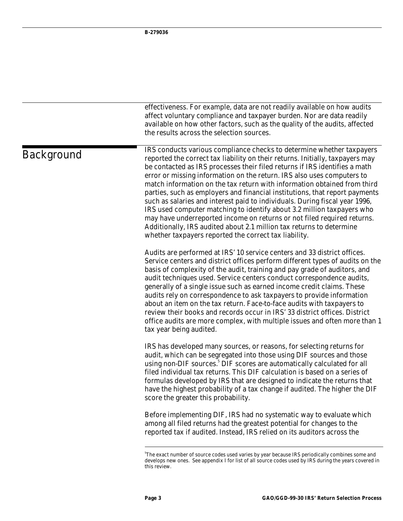|            | effectiveness. For example, data are not readily available on how audits<br>affect voluntary compliance and taxpayer burden. Nor are data readily<br>available on how other factors, such as the quality of the audits, affected<br>the results across the selection sources.                                                                                                                                                                                                                                                                                                                                                                                                                                                                                                                                                                  |
|------------|------------------------------------------------------------------------------------------------------------------------------------------------------------------------------------------------------------------------------------------------------------------------------------------------------------------------------------------------------------------------------------------------------------------------------------------------------------------------------------------------------------------------------------------------------------------------------------------------------------------------------------------------------------------------------------------------------------------------------------------------------------------------------------------------------------------------------------------------|
| Background | IRS conducts various compliance checks to determine whether taxpayers<br>reported the correct tax liability on their returns. Initially, taxpayers may<br>be contacted as IRS processes their filed returns if IRS identifies a math<br>error or missing information on the return. IRS also uses computers to<br>match information on the tax return with information obtained from third<br>parties, such as employers and financial institutions, that report payments<br>such as salaries and interest paid to individuals. During fiscal year 1996,<br>IRS used computer matching to identify about 3.2 million taxpayers who<br>may have underreported income on returns or not filed required returns.<br>Additionally, IRS audited about 2.1 million tax returns to determine<br>whether taxpayers reported the correct tax liability. |
|            | Audits are performed at IRS' 10 service centers and 33 district offices.<br>Service centers and district offices perform different types of audits on the<br>basis of complexity of the audit, training and pay grade of auditors, and<br>audit techniques used. Service centers conduct correspondence audits,<br>generally of a single issue such as earned income credit claims. These<br>audits rely on correspondence to ask taxpayers to provide information<br>about an item on the tax return. Face-to-face audits with taxpayers to<br>review their books and records occur in IRS' 33 district offices. District<br>office audits are more complex, with multiple issues and often more than 1<br>tax year being audited.                                                                                                            |
|            | IRS has developed many sources, or reasons, for selecting returns for<br>audit, which can be segregated into those using DIF sources and those<br>using non-DIF sources. <sup>5</sup> DIF scores are automatically calculated for all<br>filed individual tax returns. This DIF calculation is based on a series of<br>formulas developed by IRS that are designed to indicate the returns that<br>have the highest probability of a tax change if audited. The higher the DIF<br>score the greater this probability.                                                                                                                                                                                                                                                                                                                          |
|            | Before implementing DIF, IRS had no systematic way to evaluate which<br>among all filed returns had the greatest potential for changes to the<br>reported tax if audited. Instead, IRS relied on its auditors across the                                                                                                                                                                                                                                                                                                                                                                                                                                                                                                                                                                                                                       |
|            |                                                                                                                                                                                                                                                                                                                                                                                                                                                                                                                                                                                                                                                                                                                                                                                                                                                |

<sup>5</sup> The exact number of source codes used varies by year because IRS periodically combines some and develops new ones. See appendix I for list of all source codes used by IRS during the years covered in this review.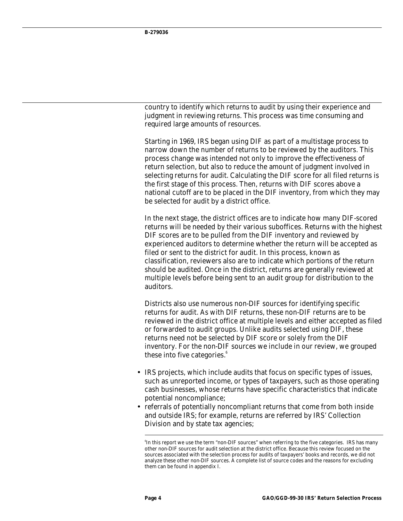country to identify which returns to audit by using their experience and judgment in reviewing returns. This process was time consuming and required large amounts of resources.

Starting in 1969, IRS began using DIF as part of a multistage process to narrow down the number of returns to be reviewed by the auditors. This process change was intended not only to improve the effectiveness of return selection, but also to reduce the amount of judgment involved in selecting returns for audit. Calculating the DIF score for all filed returns is the first stage of this process. Then, returns with DIF scores above a national cutoff are to be placed in the DIF inventory, from which they may be selected for audit by a district office.

In the next stage, the district offices are to indicate how many DIF-scored returns will be needed by their various suboffices. Returns with the highest DIF scores are to be pulled from the DIF inventory and reviewed by experienced auditors to determine whether the return will be accepted as filed or sent to the district for audit. In this process, known as classification, reviewers also are to indicate which portions of the return should be audited. Once in the district, returns are generally reviewed at multiple levels before being sent to an audit group for distribution to the auditors.

Districts also use numerous non-DIF sources for identifying specific returns for audit. As with DIF returns, these non-DIF returns are to be reviewed in the district office at multiple levels and either accepted as filed or forwarded to audit groups. Unlike audits selected using DIF, these returns need not be selected by DIF score or solely from the DIF inventory. For the non-DIF sources we include in our review, we grouped these into five categories.<sup>6</sup>

- IRS projects, which include audits that focus on specific types of issues, such as unreported income, or types of taxpayers, such as those operating cash businesses, whose returns have specific characteristics that indicate potential noncompliance;
- referrals of potentially noncompliant returns that come from both inside and outside IRS; for example, returns are referred by IRS' Collection Division and by state tax agencies;

<sup>6</sup> In this report we use the term "non-DIF sources" when referring to the five categories. IRS has many other non-DIF sources for audit selection at the district office. Because this review focused on the sources associated with the selection process for audits of taxpayers' books and records, we did not analyze these other non-DIF sources. A complete list of source codes and the reasons for excluding them can be found in appendix I.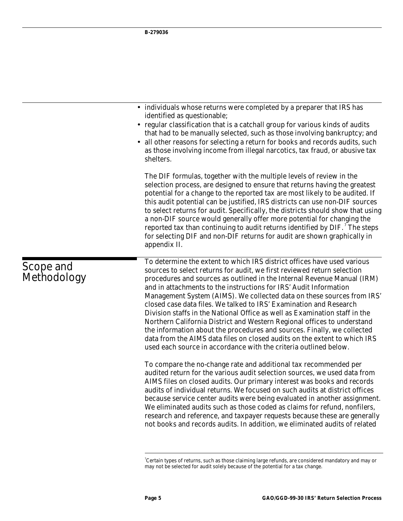| • individuals whose returns were completed by a preparer that IRS has |
|-----------------------------------------------------------------------|
| identified as questionable;                                           |

- regular classification that is a catchall group for various kinds of audits that had to be manually selected, such as those involving bankruptcy; and
- all other reasons for selecting a return for books and records audits, such as those involving income from illegal narcotics, tax fraud, or abusive tax shelters.

The DIF formulas, together with the multiple levels of review in the selection process, are designed to ensure that returns having the greatest potential for a change to the reported tax are most likely to be audited. If this audit potential can be justified, IRS districts can use non-DIF sources to select returns for audit. Specifically, the districts should show that using a non-DIF source would generally offer more potential for changing the reported tax than continuing to audit returns identified by DIF.<sup>7</sup> The steps for selecting DIF and non-DIF returns for audit are shown graphically in appendix II.

To determine the extent to which IRS district offices have used various sources to select returns for audit, we first reviewed return selection procedures and sources as outlined in the Internal Revenue Manual (IRM) and in attachments to the instructions for IRS' Audit Information Management System (AIMS). We collected data on these sources from IRS' closed case data files. We talked to IRS' Examination and Research Division staffs in the National Office as well as Examination staff in the Northern California District and Western Regional offices to understand the information about the procedures and sources. Finally, we collected data from the AIMS data files on closed audits on the extent to which IRS used each source in accordance with the criteria outlined below.

To compare the no-change rate and additional tax recommended per audited return for the various audit selection sources, we used data from AIMS files on closed audits. Our primary interest was books and records audits of individual returns. We focused on such audits at district offices because service center audits were being evaluated in another assignment. We eliminated audits such as those coded as claims for refund, nonfilers, research and reference, and taxpayer requests because these are generally not books and records audits. In addition, we eliminated audits of related

Scope and Methodology

<sup>7</sup> Certain types of returns, such as those claiming large refunds, are considered mandatory and may or may not be selected for audit solely because of the potential for a tax change.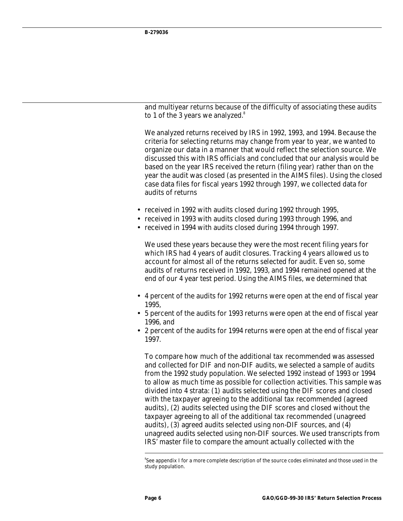and multiyear returns because of the difficulty of associating these audits to 1 of the 3 years we analyzed. $^8$ 

We analyzed returns received by IRS in 1992, 1993, and 1994. Because the criteria for selecting returns may change from year to year, we wanted to organize our data in a manner that would reflect the selection source. We discussed this with IRS officials and concluded that our analysis would be based on the year IRS received the return (filing year) rather than on the year the audit was closed (as presented in the AIMS files). Using the closed case data files for fiscal years 1992 through 1997, we collected data for audits of returns

- received in 1992 with audits closed during 1992 through 1995,
- received in 1993 with audits closed during 1993 through 1996, and
- received in 1994 with audits closed during 1994 through 1997.

We used these years because they were the most recent filing years for which IRS had 4 years of audit closures. Tracking 4 years allowed us to account for almost all of the returns selected for audit. Even so, some audits of returns received in 1992, 1993, and 1994 remained opened at the end of our 4 year test period. Using the AIMS files, we determined that

- 4 percent of the audits for 1992 returns were open at the end of fiscal year 1995,
- 5 percent of the audits for 1993 returns were open at the end of fiscal year 1996, and
- 2 percent of the audits for 1994 returns were open at the end of fiscal year 1997.

To compare how much of the additional tax recommended was assessed and collected for DIF and non-DIF audits, we selected a sample of audits from the 1992 study population. We selected 1992 instead of 1993 or 1994 to allow as much time as possible for collection activities. This sample was divided into 4 strata: (1) audits selected using the DIF scores and closed with the taxpayer agreeing to the additional tax recommended (agreed audits), (2) audits selected using the DIF scores and closed without the taxpayer agreeing to all of the additional tax recommended (unagreed audits), (3) agreed audits selected using non-DIF sources, and (4) unagreed audits selected using non-DIF sources. We used transcripts from IRS' master file to compare the amount actually collected with the

<sup>8</sup> See appendix I for a more complete description of the source codes eliminated and those used in the study population.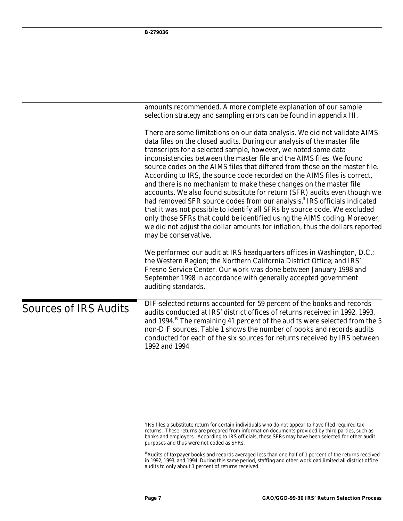amounts recommended. A more complete explanation of our sample selection strategy and sampling errors can be found in appendix III. There are some limitations on our data analysis. We did not validate AIMS data files on the closed audits. During our analysis of the master file transcripts for a selected sample, however, we noted some data inconsistencies between the master file and the AIMS files. We found source codes on the AIMS files that differed from those on the master file. According to IRS, the source code recorded on the AIMS files is correct, and there is no mechanism to make these changes on the master file accounts. We also found substitute for return (SFR) audits even though we had removed SFR source codes from our analysis.<sup>9</sup> IRS officials indicated that it was not possible to identify all SFRs by source code. We excluded only those SFRs that could be identified using the AIMS coding. Moreover, we did not adjust the dollar amounts for inflation, thus the dollars reported may be conservative. We performed our audit at IRS headquarters offices in Washington, D.C.; the Western Region; the Northern California District Office; and IRS' Fresno Service Center. Our work was done between January 1998 and September 1998 in accordance with generally accepted government auditing standards. DIF-selected returns accounted for 59 percent of the books and records audits conducted at IRS' district offices of returns received in 1992, 1993, and 1994.<sup>10</sup> The remaining 41 percent of the audits were selected from the 5 non-DIF sources. Table 1 shows the number of books and records audits conducted for each of the six sources for returns received by IRS between 1992 and 1994. Sources of IRS Audits

<sup>9</sup> IRS files a substitute return for certain individuals who do not appear to have filed required tax returns. These returns are prepared from information documents provided by third parties, such as banks and employers. According to IRS officials, these SFRs may have been selected for other audit purposes and thus were not coded as SFRs.

<sup>10</sup>Audits of taxpayer books and records averaged less than one-half of 1 percent of the returns received in 1992, 1993, and 1994. During this same period, staffing and other workload limited all district office audits to only about 1 percent of returns received.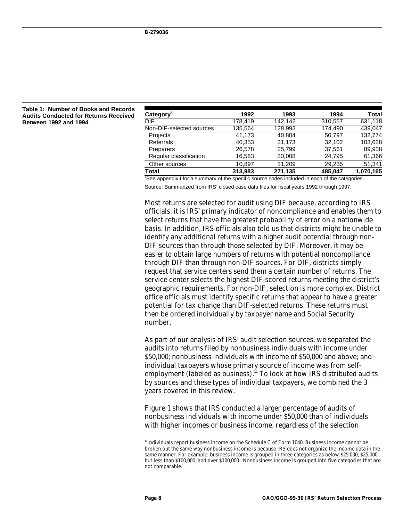### **Table 1: Number of Books and Records Audits Conducted for Returns Received Between 1992 and 1994**

| Category <sup>ª</sup>    | 1992    | 1993    | 1994    | <b>Total</b> |
|--------------------------|---------|---------|---------|--------------|
| DIF                      | 178.419 | 142,142 | 310,557 | 631,118      |
| Non-DIF-selected sources | 135,564 | 128,993 | 174.490 | 439,047      |
| Projects                 | 41,173  | 40,804  | 50,797  | 132,774      |
| Referrals                | 40,353  | 31,173  | 32,102  | 103,628      |
| Preparers                | 26,578  | 25,799  | 37,561  | 89,938       |
| Regular classification   | 16,563  | 20,008  | 24,795  | 61,366       |
| Other sources            | 10,897  | 11,209  | 29,235  | 51,341       |
| <b>Total</b>             | 313,983 | 271,135 | 485,047 | 1,070,165    |
|                          |         |         |         |              |

<sup>a</sup>See appendix I for a summary of the specific source codes included in each of the categories. Source: Summarized from IRS' closed case data files for fiscal years 1992 through 1997.

Most returns are selected for audit using DIF because, according to IRS officials, it is IRS' primary indicator of noncompliance and enables them to select returns that have the greatest probability of error on a nationwide basis. In addition, IRS officials also told us that districts might be unable to identify any additional returns with a higher audit potential through non-DIF sources than through those selected by DIF. Moreover, it may be easier to obtain large numbers of returns with potential noncompliance through DIF than through non-DIF sources. For DIF, districts simply request that service centers send them a certain number of returns. The service center selects the highest DIF-scored returns meeting the district's geographic requirements. For non-DIF, selection is more complex. District office officials must identify specific returns that appear to have a greater potential for tax change than DIF-selected returns. These returns must then be ordered individually by taxpayer name and Social Security number.

As part of our analysis of IRS' audit selection sources, we separated the audits into returns filed by nonbusiness individuals with income under \$50,000; nonbusiness individuals with income of \$50,000 and above; and individual taxpayers whose primary source of income was from selfemployment (labeled as business). $^{11}$  To look at how IRS distributed audits by sources and these types of individual taxpayers, we combined the 3 years covered in this review.

Figure 1 shows that IRS conducted a larger percentage of audits of nonbusiness individuals with income under \$50,000 than of individuals with higher incomes or business income, regardless of the selection

<sup>11</sup>Individuals report business income on the Schedule C of Form 1040. Business income cannot be broken out the same way nonbusiness income is because IRS does not organize the income data in the same manner. For example, business income is grouped in three categories as below \$25,000, \$25,000 but less than \$100,000, and over \$100,000. Nonbusiness income is grouped into five categories that are not comparable.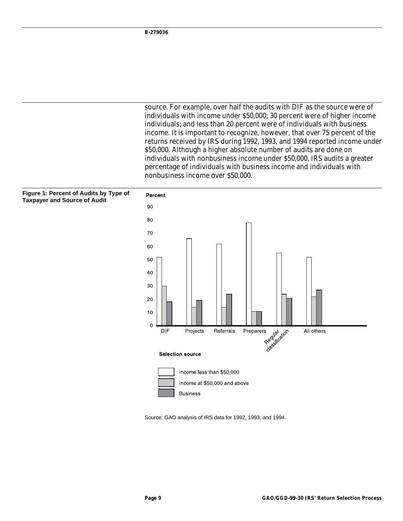source. For example, over half the audits with DIF as the source were of individuals with income under \$50,000; 30 percent were of higher income individuals; and less than 20 percent were of individuals with business income. It is important to recognize, however, that over 75 percent of the returns received by IRS during 1992, 1993, and 1994 reported income under \$50,000. Although a higher absolute number of audits are done on individuals with nonbusiness income under \$50,000, IRS audits a greater percentage of individuals with business income and individuals with nonbusiness income over \$50,000.



Source: GAO analysis of IRS data for 1992, 1993, and 1994.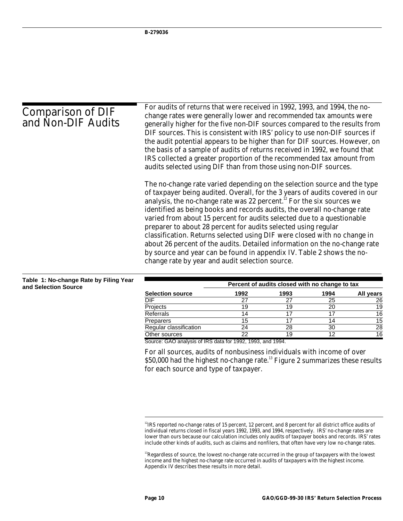| Comparison of DIF<br>and Non-DIF Audits | For audits of returns that were received in 1992, 1993, and 1994, the no-<br>change rates were generally lower and recommended tax amounts were<br>generally higher for the five non-DIF sources compared to the results from<br>DIF sources. This is consistent with IRS' policy to use non-DIF sources if<br>the audit potential appears to be higher than for DIF sources. However, on<br>the basis of a sample of audits of returns received in 1992, we found that<br>IRS collected a greater proportion of the recommended tax amount from<br>audits selected using DIF than from those using non-DIF sources.                                                                                                                                        |
|-----------------------------------------|-------------------------------------------------------------------------------------------------------------------------------------------------------------------------------------------------------------------------------------------------------------------------------------------------------------------------------------------------------------------------------------------------------------------------------------------------------------------------------------------------------------------------------------------------------------------------------------------------------------------------------------------------------------------------------------------------------------------------------------------------------------|
|                                         | The no-change rate varied depending on the selection source and the type<br>of taxpayer being audited. Overall, for the 3 years of audits covered in our<br>analysis, the no-change rate was 22 percent. <sup>12</sup> For the six sources we<br>identified as being books and records audits, the overall no-change rate<br>varied from about 15 percent for audits selected due to a questionable<br>preparer to about 28 percent for audits selected using regular<br>classification. Returns selected using DIF were closed with no change in<br>about 26 percent of the audits. Detailed information on the no-change rate<br>by source and year can be found in appendix IV. Table 2 shows the no-<br>change rate by year and audit selection source. |

### **Table 1: No-change Rate by Filing Year and Selection Source**

|                         | Percent of audits closed with no change to tax |      |      |           |
|-------------------------|------------------------------------------------|------|------|-----------|
| <b>Selection source</b> | 1992                                           | 1993 | 1994 | All years |
| <b>DIF</b>              | 27                                             |      | 25   | 26        |
| Projects                | 19                                             | 19   | 20   | 19        |
| Referrals               | 14                                             |      | 17   | 16        |
| Preparers               | 15                                             |      | 14   | 15        |
| Regular classification  | 24                                             | 28   | 30   | 28        |
| Other sources           |                                                | 19   | 12   | 16        |
|                         |                                                |      |      |           |

Source: GAO analysis of IRS data for 1992, 1993, and 1994.

For all sources, audits of nonbusiness individuals with income of over \$50,000 had the highest no-change rate.<sup>13</sup> Figure 2 summarizes these results for each source and type of taxpayer.

 $12$ IRS reported no-change rates of 15 percent, 12 percent, and 8 percent for all district office audits of individual returns closed in fiscal years 1992, 1993, and 1994, respectively. IRS' no-change rates are lower than ours because our calculation includes only audits of taxpayer books and records. IRS' rates include other kinds of audits, such as claims and nonfilers, that often have very low no-change rates.

<sup>&</sup>lt;sup>13</sup>Regardless of source, the lowest no-change rate occurred in the group of taxpayers with the lowest income and the highest no-change rate occurred in audits of taxpayers with the highest income. Appendix IV describes these results in more detail.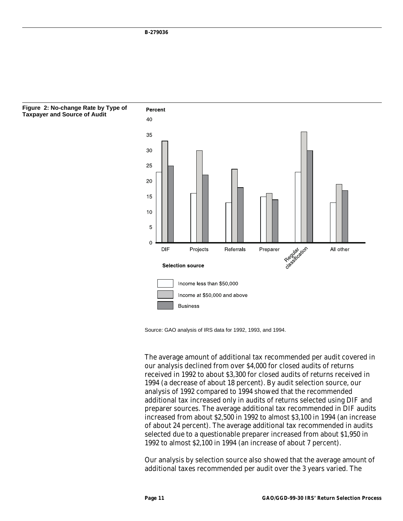

Source: GAO analysis of IRS data for 1992, 1993, and 1994.

The average amount of additional tax recommended per audit covered in our analysis declined from over \$4,000 for closed audits of returns received in 1992 to about \$3,300 for closed audits of returns received in 1994 (a decrease of about 18 percent). By audit selection source, our analysis of 1992 compared to 1994 showed that the recommended additional tax increased only in audits of returns selected using DIF and preparer sources. The average additional tax recommended in DIF audits increased from about \$2,500 in 1992 to almost \$3,100 in 1994 (an increase of about 24 percent). The average additional tax recommended in audits selected due to a questionable preparer increased from about \$1,950 in 1992 to almost \$2,100 in 1994 (an increase of about 7 percent).

Our analysis by selection source also showed that the average amount of additional taxes recommended per audit over the 3 years varied. The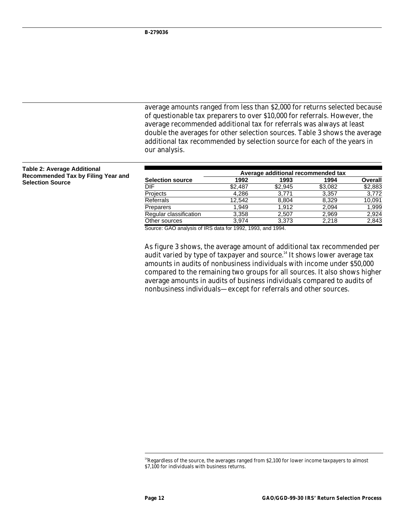average amounts ranged from less than \$2,000 for returns selected because of questionable tax preparers to over \$10,000 for referrals. However, the average recommended additional tax for referrals was always at least double the averages for other selection sources. Table 3 shows the average additional tax recommended by selection source for each of the years in our analysis.

### **Table 2: Average Additional Recommended Tax by Filing Year and Selection Source**

|                         | Average additional recommended tax |         |         |                |
|-------------------------|------------------------------------|---------|---------|----------------|
| <b>Selection source</b> | 1992                               | 1993    | 1994    | <b>Overall</b> |
| DIF                     | \$2,487                            | \$2,945 | \$3,082 | \$2,883        |
| Projects                | 4.286                              | 3.771   | 3.357   | 3,772          |
| Referrals               | 12.542                             | 8.804   | 8.329   | 10,091         |
| Preparers               | 1.949                              | 1.912   | 2.094   | 1,999          |
| Regular classification  | 3.358                              | 2.507   | 2.969   | 2.924          |
| Other sources           | 3.974                              | 3,373   | 2.218   | 2,843          |

Source: GAO analysis of IRS data for 1992, 1993, and 1994.

As figure 3 shows, the average amount of additional tax recommended per audit varied by type of taxpayer and source.<sup>14</sup> It shows lower average tax amounts in audits of nonbusiness individuals with income under \$50,000 compared to the remaining two groups for all sources. It also shows higher average amounts in audits of business individuals compared to audits of nonbusiness individuals—except for referrals and other sources.

 $14$ Regardless of the source, the averages ranged from \$2,100 for lower income taxpayers to almost \$7,100 for individuals with business returns.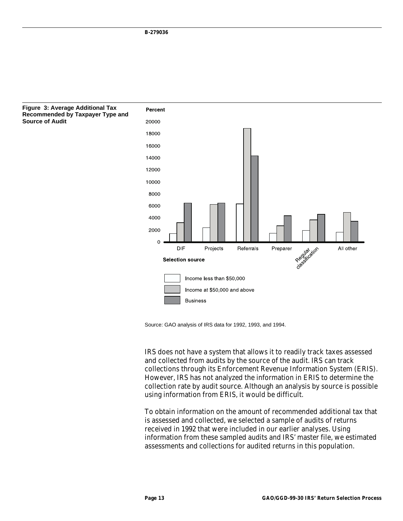

Source: GAO analysis of IRS data for 1992, 1993, and 1994.

IRS does not have a system that allows it to readily track taxes assessed and collected from audits by the source of the audit. IRS can track collections through its Enforcement Revenue Information System (ERIS). However, IRS has not analyzed the information in ERIS to determine the collection rate by audit source. Although an analysis by source is possible using information from ERIS, it would be difficult.

To obtain information on the amount of recommended additional tax that is assessed and collected, we selected a sample of audits of returns received in 1992 that were included in our earlier analyses. Using information from these sampled audits and IRS' master file, we estimated assessments and collections for audited returns in this population.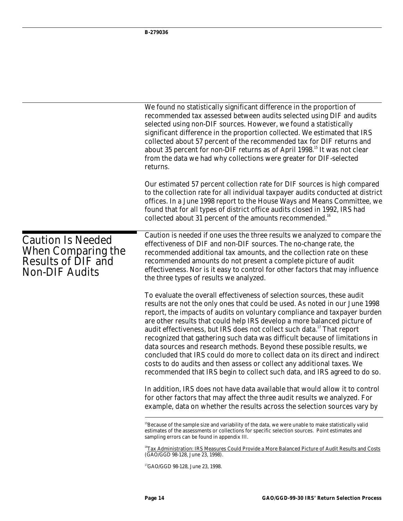|                                                                                                      | We found no statistically significant difference in the proportion of<br>recommended tax assessed between audits selected using DIF and audits<br>selected using non-DIF sources. However, we found a statistically<br>significant difference in the proportion collected. We estimated that IRS<br>collected about 57 percent of the recommended tax for DIF returns and<br>about 35 percent for non-DIF returns as of April 1998. <sup>15</sup> It was not clear<br>from the data we had why collections were greater for DIF-selected<br>returns.                                                                                                                                                                                                                                               |
|------------------------------------------------------------------------------------------------------|----------------------------------------------------------------------------------------------------------------------------------------------------------------------------------------------------------------------------------------------------------------------------------------------------------------------------------------------------------------------------------------------------------------------------------------------------------------------------------------------------------------------------------------------------------------------------------------------------------------------------------------------------------------------------------------------------------------------------------------------------------------------------------------------------|
|                                                                                                      | Our estimated 57 percent collection rate for DIF sources is high compared<br>to the collection rate for all individual taxpayer audits conducted at district<br>offices. In a June 1998 report to the House Ways and Means Committee, we<br>found that for all types of district office audits closed in 1992, IRS had<br>collected about 31 percent of the amounts recommended. <sup>16</sup>                                                                                                                                                                                                                                                                                                                                                                                                     |
| <b>Caution Is Needed</b><br>When Comparing the<br><b>Results of DIF and</b><br><b>Non-DIF Audits</b> | Caution is needed if one uses the three results we analyzed to compare the<br>effectiveness of DIF and non-DIF sources. The no-change rate, the<br>recommended additional tax amounts, and the collection rate on these<br>recommended amounts do not present a complete picture of audit<br>effectiveness. Nor is it easy to control for other factors that may influence<br>the three types of results we analyzed.                                                                                                                                                                                                                                                                                                                                                                              |
|                                                                                                      | To evaluate the overall effectiveness of selection sources, these audit<br>results are not the only ones that could be used. As noted in our June 1998<br>report, the impacts of audits on voluntary compliance and taxpayer burden<br>are other results that could help IRS develop a more balanced picture of<br>audit effectiveness, but IRS does not collect such data. <sup>17</sup> That report<br>recognized that gathering such data was difficult because of limitations in<br>data sources and research methods. Beyond these possible results, we<br>concluded that IRS could do more to collect data on its direct and indirect<br>costs to do audits and then assess or collect any additional taxes. We<br>recommended that IRS begin to collect such data, and IRS agreed to do so. |
|                                                                                                      | In addition, IRS does not have data available that would allow it to control<br>for other factors that may affect the three audit results we analyzed. For<br>example, data on whether the results across the selection sources vary by                                                                                                                                                                                                                                                                                                                                                                                                                                                                                                                                                            |
|                                                                                                      | <sup>15</sup> Because of the sample size and variability of the data, we were unable to make statistically valid<br>estimates of the assessments or collections for specific selection sources. Point estimates and<br>sampling errors can be found in appendix III.                                                                                                                                                                                                                                                                                                                                                                                                                                                                                                                               |
|                                                                                                      | <sup>16</sup> Tax Administration: IRS Measures Could Provide a More Balanced Picture of Audit Results and Costs<br>(GAO/GGD 98-128, June 23, 1998).                                                                                                                                                                                                                                                                                                                                                                                                                                                                                                                                                                                                                                                |

17GAO/GGD 98-128, June 23, 1998.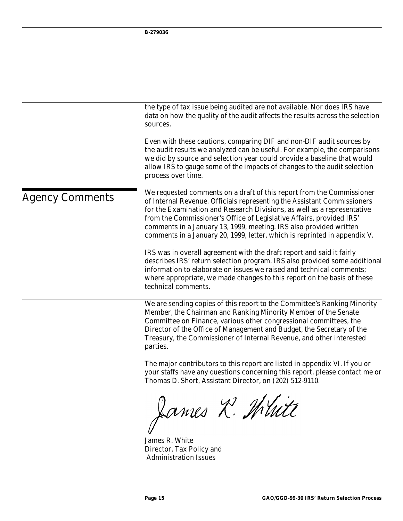|                        | the type of tax issue being audited are not available. Nor does IRS have<br>data on how the quality of the audit affects the results across the selection<br>sources.                                                                                                                                                                                                                                                                                  |
|------------------------|--------------------------------------------------------------------------------------------------------------------------------------------------------------------------------------------------------------------------------------------------------------------------------------------------------------------------------------------------------------------------------------------------------------------------------------------------------|
|                        | Even with these cautions, comparing DIF and non-DIF audit sources by<br>the audit results we analyzed can be useful. For example, the comparisons<br>we did by source and selection year could provide a baseline that would<br>allow IRS to gauge some of the impacts of changes to the audit selection<br>process over time.                                                                                                                         |
| <b>Agency Comments</b> | We requested comments on a draft of this report from the Commissioner<br>of Internal Revenue. Officials representing the Assistant Commissioners<br>for the Examination and Research Divisions, as well as a representative<br>from the Commissioner's Office of Legislative Affairs, provided IRS'<br>comments in a January 13, 1999, meeting. IRS also provided written<br>comments in a January 20, 1999, letter, which is reprinted in appendix V. |
|                        | IRS was in overall agreement with the draft report and said it fairly<br>describes IRS' return selection program. IRS also provided some additional<br>information to elaborate on issues we raised and technical comments;<br>where appropriate, we made changes to this report on the basis of these<br>technical comments.                                                                                                                          |
|                        | We are sending copies of this report to the Committee's Ranking Minority<br>Member, the Chairman and Ranking Minority Member of the Senate<br>Committee on Finance, various other congressional committees, the<br>Director of the Office of Management and Budget, the Secretary of the<br>Treasury, the Commissioner of Internal Revenue, and other interested<br>parties.                                                                           |
|                        | The major contributors to this report are listed in appendix VI. If you or<br>your staffs have any questions concerning this report, please contact me or<br>Thomas D. Short, Assistant Director, on (202) 512-9110.                                                                                                                                                                                                                                   |
|                        | Lames R. Muite                                                                                                                                                                                                                                                                                                                                                                                                                                         |
|                        | James R. White<br>Director, Tax Policy and<br><b>Administration Issues</b>                                                                                                                                                                                                                                                                                                                                                                             |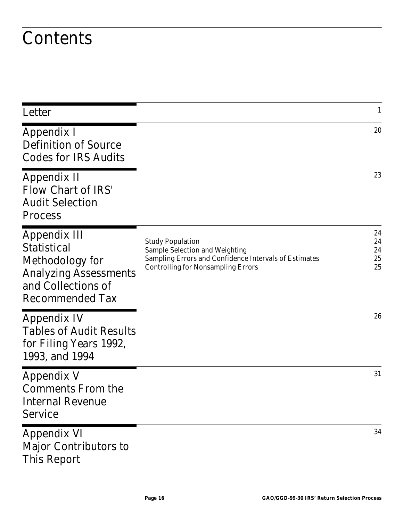# **Contents**

| Letter                                                                                                                                       |                                                                                                                                                                        | 1                          |
|----------------------------------------------------------------------------------------------------------------------------------------------|------------------------------------------------------------------------------------------------------------------------------------------------------------------------|----------------------------|
| Appendix I<br><b>Definition of Source</b><br><b>Codes for IRS Audits</b>                                                                     |                                                                                                                                                                        | 20                         |
| Appendix II<br><b>Flow Chart of IRS'</b><br><b>Audit Selection</b><br><b>Process</b>                                                         |                                                                                                                                                                        | 23                         |
| <b>Appendix III</b><br><b>Statistical</b><br>Methodology for<br><b>Analyzing Assessments</b><br>and Collections of<br><b>Recommended Tax</b> | <b>Study Population</b><br><b>Sample Selection and Weighting</b><br>Sampling Errors and Confidence Intervals of Estimates<br><b>Controlling for Nonsampling Errors</b> | 24<br>24<br>24<br>25<br>25 |
| <b>Appendix IV</b><br><b>Tables of Audit Results</b><br>for Filing Years 1992,<br>1993, and 1994                                             |                                                                                                                                                                        | 26                         |
| <b>Appendix V</b><br><b>Comments From the</b><br><b>Internal Revenue</b><br><b>Service</b>                                                   |                                                                                                                                                                        | 31                         |
| <b>Appendix VI</b><br>Major Contributors to<br><b>This Report</b>                                                                            |                                                                                                                                                                        | 34                         |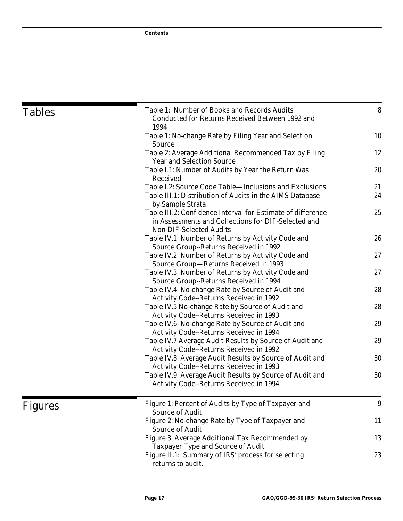**Contents**

| <b>Tables</b>  | Table 1: Number of Books and Records Audits<br>Conducted for Returns Received Between 1992 and                                                       |    |  |  |  |
|----------------|------------------------------------------------------------------------------------------------------------------------------------------------------|----|--|--|--|
|                | 1994<br>Table 1: No-change Rate by Filing Year and Selection<br><b>Source</b>                                                                        |    |  |  |  |
|                | Table 2: Average Additional Recommended Tax by Filing<br><b>Year and Selection Source</b>                                                            | 12 |  |  |  |
|                | Table I.1: Number of Audits by Year the Return Was<br>Received                                                                                       |    |  |  |  |
|                | Table I.2: Source Code Table-Inclusions and Exclusions                                                                                               | 21 |  |  |  |
|                | Table III.1: Distribution of Audits in the AIMS Database<br>by Sample Strata                                                                         | 24 |  |  |  |
|                | Table III.2: Confidence Interval for Estimate of difference<br>in Assessments and Collections for DIF-Selected and<br><b>Non-DIF-Selected Audits</b> |    |  |  |  |
|                | Table IV.1: Number of Returns by Activity Code and<br>Source Group--Returns Received in 1992                                                         | 26 |  |  |  |
|                | Table IV.2: Number of Returns by Activity Code and<br>Source Group-Returns Received in 1993                                                          | 27 |  |  |  |
|                | Table IV.3: Number of Returns by Activity Code and<br>Source Group--Returns Received in 1994                                                         |    |  |  |  |
|                | Table IV.4: No-change Rate by Source of Audit and<br><b>Activity Code--Returns Received in 1992</b>                                                  |    |  |  |  |
|                | Table IV.5 No-change Rate by Source of Audit and<br><b>Activity Code--Returns Received in 1993</b>                                                   |    |  |  |  |
|                | Table IV.6: No-change Rate by Source of Audit and<br><b>Activity Code--Returns Received in 1994</b>                                                  | 29 |  |  |  |
|                | Table IV.7 Average Audit Results by Source of Audit and<br><b>Activity Code--Returns Received in 1992</b>                                            |    |  |  |  |
|                | Table IV.8: Average Audit Results by Source of Audit and<br><b>Activity Code--Returns Received in 1993</b>                                           | 30 |  |  |  |
|                | Table IV.9: Average Audit Results by Source of Audit and<br><b>Activity Code--Returns Received in 1994</b>                                           | 30 |  |  |  |
| <b>Figures</b> | Figure 1: Percent of Audits by Type of Taxpayer and<br><b>Source of Audit</b>                                                                        | 9  |  |  |  |
|                | Figure 2: No-change Rate by Type of Taxpayer and<br><b>Source of Audit</b>                                                                           | 11 |  |  |  |
|                | Figure 3: Average Additional Tax Recommended by<br><b>Taxpayer Type and Source of Audit</b>                                                          | 13 |  |  |  |
|                | Figure II.1: Summary of IRS' process for selecting                                                                                                   | 23 |  |  |  |

returns to audit.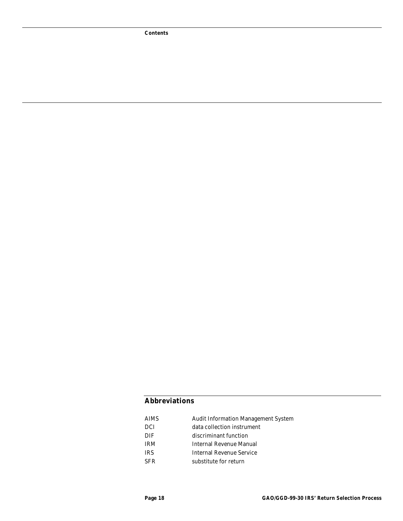**Contents**

### **Abbreviations**

| <b>AIMS</b> | <b>Audit Information Management System</b> |
|-------------|--------------------------------------------|
| <b>DCI</b>  | data collection instrument                 |
| DIE         | discriminant function                      |
| <b>IRM</b>  | Internal Revenue Manual                    |
| <b>IRS</b>  | <b>Internal Revenue Service</b>            |
| <b>SFR</b>  | substitute for return                      |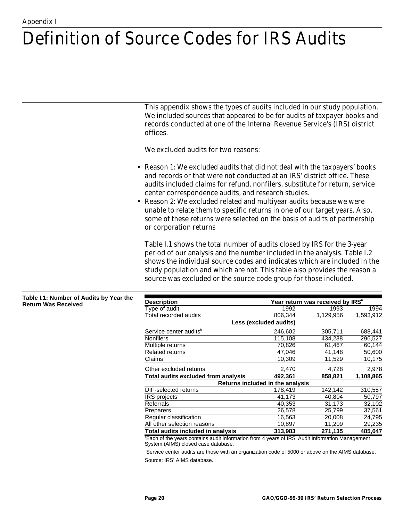**Table I.1: Number of Audits by Year the**

**Return Was Received**

# Definition of Source Codes for IRS Audits

This appendix shows the types of audits included in our study population. We included sources that appeared to be for audits of taxpayer books and records conducted at one of the Internal Revenue Service's (IRS) district offices.

We excluded audits for two reasons:

- Reason 1: We excluded audits that did not deal with the taxpayers' books and records or that were not conducted at an IRS' district office. These audits included claims for refund, nonfilers, substitute for return, service center correspondence audits, and research studies.
- Reason 2: We excluded related and multiyear audits because we were unable to relate them to specific returns in one of our target years. Also, some of these returns were selected on the basis of audits of partnership or corporation returns

Table I.1 shows the total number of audits closed by IRS for the 3-year period of our analysis and the number included in the analysis. Table I.2 shows the individual source codes and indicates which are included in the study population and which are not. This table also provides the reason a source was excluded or the source code group for those included.

| <b>Description</b>                  |                                  | Year return was received by IRS <sup>a</sup> |           |
|-------------------------------------|----------------------------------|----------------------------------------------|-----------|
| Type of audit                       | 1992                             | 1993                                         | 1994      |
| Total recorded audits               | 806.344                          | 1,129,956                                    | 1.593.912 |
|                                     | Less (excluded audits)           |                                              |           |
| Service center audits <sup>®</sup>  | 246,602                          | 305,711                                      | 688,441   |
| <b>Nonfilers</b>                    | 115,108                          | 434,238                                      | 296,527   |
| Multiple returns                    | 70,826                           | 61,467                                       | 60,144    |
| <b>Related returns</b>              | 47,046                           | 41,148                                       | 50,600    |
| Claims                              | 10,309                           | 11,529                                       | 10,175    |
| Other excluded returns              | 2,470                            | 4,728                                        | 2,978     |
| Total audits excluded from analysis | 492,361                          | 858,821                                      | 1,108,865 |
|                                     | Returns included in the analysis |                                              |           |
| <b>DIF-selected returns</b>         | 178,419                          | 142,142                                      | 310,557   |
| <b>IRS</b> projects                 | 41.173                           | 40,804                                       | 50,797    |
| <b>Referrals</b>                    | 40.353                           | 31,173                                       | 32,102    |
| Preparers                           | 26,578                           | 25,799                                       | 37,561    |
| Regular classification              | 16,563                           | 20,008                                       | 24,795    |
| All other selection reasons         | 10,897                           | 11,209                                       | 29,235    |
| Total audits included in analysis   | 313,983                          | 271,135                                      | 485,047   |

a Each of the years contains audit information from 4 years of IRS' Audit Information Management System (AIMS) closed case database.

b Service center audits are those with an organization code of 5000 or above on the AIMS database. Source: IRS' AIMS database.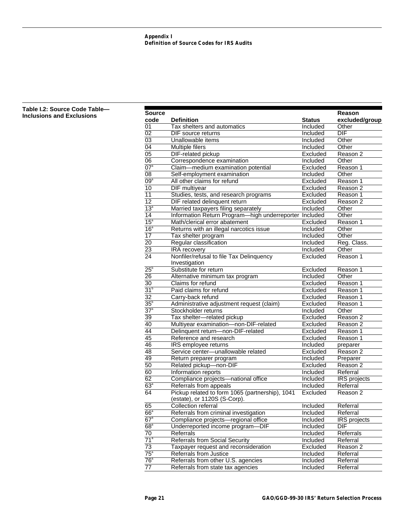#### **Table I.2: Source Code Table— Inclusions and Exclusions**

| <b>Source</b>                |                                                        |          | Reason              |
|------------------------------|--------------------------------------------------------|----------|---------------------|
| code                         | <b>Definition</b>                                      | Status   | excluded/group      |
| 01                           | Tax shelters and automatics                            | Included | Other               |
| $\overline{02}$              | <b>DIF</b> source returns                              | Included | DIF                 |
| 03                           | Unallowable items                                      | Included | Other               |
| 04                           | <b>Multiple filers</b>                                 | Included | Other               |
| $\overline{05}$              | <b>DIF-related pickup</b>                              | Excluded | Reason 2            |
| $\overline{06}$              | Correspondence examination                             | Included | Other               |
| $07^{\circ}$                 | Claim-medium examination potential                     | Excluded | Reason 1            |
| 08                           | Self-employment examination                            | Included | Other               |
| $\overline{09}^a$            | All other claims for refund                            | Excluded | Reason 1            |
| 10                           | <b>DIF</b> multiyear                                   | Excluded | Reason 2            |
| 11                           | Studies, tests, and research programs                  | Excluded | Reason 1            |
| $\overline{12}$              | DIF related delinquent return                          | Excluded | Reason 2            |
| 13 <sup>a</sup>              | Married taxpayers filing separately                    | Included | Other               |
| 14                           | Information Return Program-high underreporter Included |          | Other               |
| 15 <sup>a</sup>              | Math/clerical error abatement                          | Excluded | Reason 1            |
| 16 <sup>a</sup>              | Returns with an illegal narcotics issue                | Included | Other               |
| 17                           | Tax shelter program                                    | Included | Other               |
| $\overline{20}$              | Regular classification                                 | Included | Reg. Class.         |
| $\overline{23}$              | <b>IRA</b> recovery                                    | Included | Other               |
| 24                           | Nonfiler/refusal to file Tax Delinquency               | Excluded | Reason 1            |
|                              | Investigation                                          |          |                     |
| $25^{\circ}$                 | Substitute for return                                  | Excluded | Reason 1            |
| 26                           | Alternative minimum tax program                        | Included | Other               |
| $\overline{30}$              | Claims for refund                                      | Excluded | Reason 1            |
| 31 <sup>b</sup>              | Paid claims for refund                                 | Excluded | Reason 1            |
| $\overline{32}$              | Carry-back refund                                      | Excluded | Reason 1            |
| $35^{\circ}$                 | Administrative adjustment request (claim)              | Excluded | Reason 1            |
| $\overline{37}$ <sup>a</sup> | Stockholder returns                                    | Included | Other               |
| 39                           | Tax shelter-related pickup                             | Excluded | Reason <sub>2</sub> |
| 40                           | Multiyear examination-non-DIF-related                  | Excluded | Reason 2            |
| $\overline{44}$              | Delinquent return-non-DIF-related                      | Excluded | Reason 1            |
| 45                           | Reference and research                                 | Excluded | Reason 1            |
| 46                           | IRS employee returns                                   | Included | preparer            |
| 48                           | Service center-unallowable related                     | Excluded | Reason 2            |
| 49                           | Return preparer program                                | Included | Preparer            |
| 50                           | Related pickup-non-DIF                                 | Excluded | Reason 2            |
| 60                           | Information reports                                    | Included | Referral            |
| $\overline{62}$              | Compliance projects-national office                    | Included | <b>IRS</b> projects |
| 63 <sup>a</sup>              | Referrals from appeals                                 | Included | Referral            |
| 64                           | Pickup related to form 1065 (partnership), 1041        | Excluded | Reason 2            |
|                              | (estate), or 1120S (S-Corp).                           |          |                     |
| 65                           | Collection referral                                    | Included | Referral            |
| $\overline{66}^{\circ}$      | Referrals from criminal investigation                  | Included | Referral            |
| $67^{\circ}$                 | Compliance projects-regional office                    | Included | <b>IRS</b> projects |
| 68 <sup>a</sup>              | Underreported income program-DIF                       | Included | <b>DIF</b>          |
| 70                           | Referrals                                              | Included | Referrals           |
| 71 <sup>a</sup>              | <b>Referrals from Social Security</b>                  | Included | Referral            |
| 73                           | Taxpayer request and reconsideration                   | Excluded | Reason 2            |
| $75^{\circ}$                 | <b>Referrals from Justice</b>                          | Included | Referral            |
| 76 <sup>a</sup>              | Referrals from other U.S. agencies                     | Included | Referral            |
| $\overline{77}$              | Referrals from state tax agencies                      | Included | Referral            |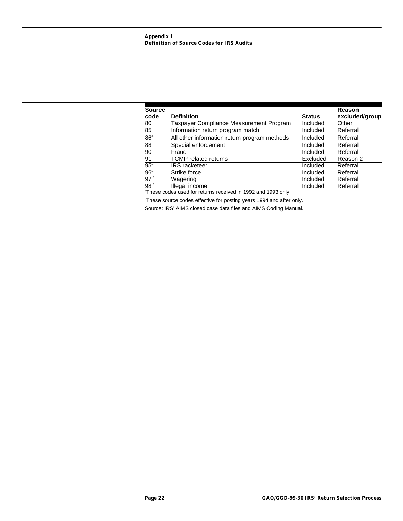| <b>Source</b>   |                                              |               | Reason         |
|-----------------|----------------------------------------------|---------------|----------------|
| code            | <b>Definition</b>                            | <b>Status</b> | excluded/group |
| 80              | Taxpayer Compliance Measurement Program      | Included      | Other          |
| 85              | Information return program match             | Included      | Referral       |
| $86^{\circ}$    | All other information return program methods | Included      | Referral       |
| 88              | Special enforcement                          | Included      | Referral       |
| $\overline{90}$ | Fraud                                        | Included      | Referral       |
| 91              | <b>TCMP</b> related returns                  | Excluded      | Reason 2       |
| $95^{\circ}$    | <b>IRS</b> racketeer                         | Included      | Referral       |
| $96^{\circ}$    | Strike force                                 | Included      | Referral       |
| 97 <sup>a</sup> | Wagering                                     | Included      | Referral       |
| 98 <sup>a</sup> | Illegal income                               | Included      | Referral       |

<sup>a</sup>These codes used for returns received in 1992 and 1993 only.

<sup>b</sup> These source codes effective for posting years 1994 and after only.

Source: IRS' AIMS closed case data files and AIMS Coding Manual.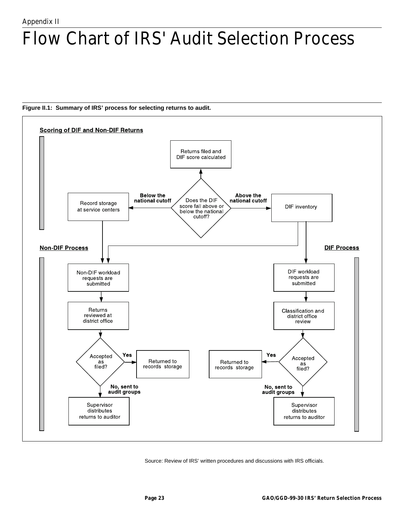# Flow Chart of IRS' Audit Selection Process

**Figure II.1: Summary of IRS' process for selecting returns to audit.**



Source: Review of IRS' written procedures and discussions with IRS officials.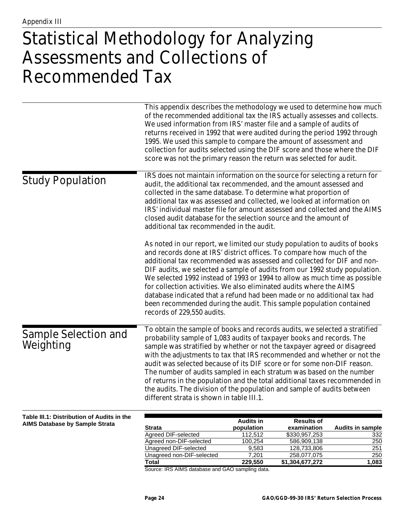### Statistical Methodology for Analyzing Assessments and Collections of Recommended Tax

|                                                                                     | This appendix describes the methodology we used to determine how much<br>of the recommended additional tax the IRS actually assesses and collects.<br>We used information from IRS' master file and a sample of audits of<br>returns received in 1992 that were audited during the period 1992 through<br>1995. We used this sample to compare the amount of assessment and<br>collection for audits selected using the DIF score and those where the DIF<br>score was not the primary reason the return was selected for audit.                                                                                                                                    |                       |                              |                         |
|-------------------------------------------------------------------------------------|---------------------------------------------------------------------------------------------------------------------------------------------------------------------------------------------------------------------------------------------------------------------------------------------------------------------------------------------------------------------------------------------------------------------------------------------------------------------------------------------------------------------------------------------------------------------------------------------------------------------------------------------------------------------|-----------------------|------------------------------|-------------------------|
| <b>Study Population</b>                                                             | IRS does not maintain information on the source for selecting a return for<br>audit, the additional tax recommended, and the amount assessed and<br>collected in the same database. To determine what proportion of<br>additional tax was assessed and collected, we looked at information on<br>IRS' individual master file for amount assessed and collected and the AIMS<br>closed audit database for the selection source and the amount of<br>additional tax recommended in the audit.                                                                                                                                                                         |                       |                              |                         |
|                                                                                     | As noted in our report, we limited our study population to audits of books<br>and records done at IRS' district offices. To compare how much of the<br>additional tax recommended was assessed and collected for DIF and non-<br>DIF audits, we selected a sample of audits from our 1992 study population.<br>We selected 1992 instead of 1993 or 1994 to allow as much time as possible<br>for collection activities. We also eliminated audits where the AIMS<br>database indicated that a refund had been made or no additional tax had<br>been recommended during the audit. This sample population contained<br>records of 229,550 audits.                    |                       |                              |                         |
| <b>Sample Selection and</b><br>Weighting                                            | To obtain the sample of books and records audits, we selected a stratified<br>probability sample of 1,083 audits of taxpayer books and records. The<br>sample was stratified by whether or not the taxpayer agreed or disagreed<br>with the adjustments to tax that IRS recommended and whether or not the<br>audit was selected because of its DIF score or for some non-DIF reason.<br>The number of audits sampled in each stratum was based on the number<br>of returns in the population and the total additional taxes recommended in<br>the audits. The division of the population and sample of audits between<br>different strata is shown in table III.1. |                       |                              |                         |
| Table III.1: Distribution of Audits in the<br><b>AIMS Database by Sample Strata</b> |                                                                                                                                                                                                                                                                                                                                                                                                                                                                                                                                                                                                                                                                     | <b>Audits in</b>      | <b>Results of</b>            |                         |
|                                                                                     | <b>Strata</b>                                                                                                                                                                                                                                                                                                                                                                                                                                                                                                                                                                                                                                                       | population<br>112,512 | examination<br>\$330,957,253 | <b>Audits in sample</b> |
|                                                                                     | Agreed DIF-selected<br>Agreed non-DIF-selected                                                                                                                                                                                                                                                                                                                                                                                                                                                                                                                                                                                                                      | 100,254               | 586,909,138                  | 332<br>250              |
|                                                                                     | <b>Unagreed DIF-selected</b>                                                                                                                                                                                                                                                                                                                                                                                                                                                                                                                                                                                                                                        | 9,583                 | 128,733,806                  | 251                     |
|                                                                                     | Unagreed non-DIF-selected                                                                                                                                                                                                                                                                                                                                                                                                                                                                                                                                                                                                                                           | 7,201                 | 258,077,075                  | 250                     |

Source: IRS AIMS database and GAO sampling data.

**Total 229,550 \$1,304,677,272 1,083**

Unagreed non-DIF-selected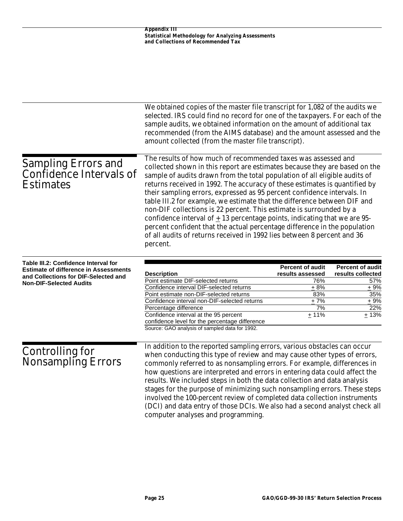|                                                                                      | We obtained copies of the master file transcript for 1,082 of the audits we<br>selected. IRS could find no record for one of the taxpayers. For each of the<br>sample audits, we obtained information on the amount of additional tax<br>recommended (from the AIMS database) and the amount assessed and the<br>amount collected (from the master file transcript).                                                                                                                                                                                                                                                                                                                                                                                                                       |                         |                         |
|--------------------------------------------------------------------------------------|--------------------------------------------------------------------------------------------------------------------------------------------------------------------------------------------------------------------------------------------------------------------------------------------------------------------------------------------------------------------------------------------------------------------------------------------------------------------------------------------------------------------------------------------------------------------------------------------------------------------------------------------------------------------------------------------------------------------------------------------------------------------------------------------|-------------------------|-------------------------|
| Sampling Errors and<br><b>Confidence Intervals of</b><br><b>Estimates</b>            | The results of how much of recommended taxes was assessed and<br>collected shown in this report are estimates because they are based on the<br>sample of audits drawn from the total population of all eligible audits of<br>returns received in 1992. The accuracy of these estimates is quantified by<br>their sampling errors, expressed as 95 percent confidence intervals. In<br>table III.2 for example, we estimate that the difference between DIF and<br>non-DIF collections is 22 percent. This estimate is surrounded by a<br>confidence interval of $\pm$ 13 percentage points, indicating that we are 95-<br>percent confident that the actual percentage difference in the population<br>of all audits of returns received in 1992 lies between 8 percent and 36<br>percent. |                         |                         |
| Table III.2: Confidence Interval for<br><b>Estimate of difference in Assessments</b> |                                                                                                                                                                                                                                                                                                                                                                                                                                                                                                                                                                                                                                                                                                                                                                                            | <b>Percent of audit</b> | <b>Percent of audit</b> |
| and Collections for DIF-Selected and                                                 | <b>Description</b>                                                                                                                                                                                                                                                                                                                                                                                                                                                                                                                                                                                                                                                                                                                                                                         | results assessed        | results collected       |
| <b>Non-DIF-Selected Audits</b>                                                       | Point estimate DIF-selected returns                                                                                                                                                                                                                                                                                                                                                                                                                                                                                                                                                                                                                                                                                                                                                        | 76%                     | $\overline{57}$ %       |
|                                                                                      | Confidence interval DIF-selected returns                                                                                                                                                                                                                                                                                                                                                                                                                                                                                                                                                                                                                                                                                                                                                   | ± 8%                    | $+9%$<br>35%            |
|                                                                                      | Point estimate non-DIF-selected returns<br>Confidence interval non-DIF-selected returns                                                                                                                                                                                                                                                                                                                                                                                                                                                                                                                                                                                                                                                                                                    | 83%<br>$\pm 7\%$        | $\frac{1}{4}$ 9%        |
|                                                                                      | Percentage difference                                                                                                                                                                                                                                                                                                                                                                                                                                                                                                                                                                                                                                                                                                                                                                      | 7%                      | 22%                     |
|                                                                                      | Confidence interval at the 95 percent                                                                                                                                                                                                                                                                                                                                                                                                                                                                                                                                                                                                                                                                                                                                                      | $\pm$ 11%               | $+13%$                  |
|                                                                                      | confidence level for the percentage difference                                                                                                                                                                                                                                                                                                                                                                                                                                                                                                                                                                                                                                                                                                                                             |                         |                         |
|                                                                                      | Source: GAO analysis of sampled data for 1992.                                                                                                                                                                                                                                                                                                                                                                                                                                                                                                                                                                                                                                                                                                                                             |                         |                         |
|                                                                                      |                                                                                                                                                                                                                                                                                                                                                                                                                                                                                                                                                                                                                                                                                                                                                                                            |                         |                         |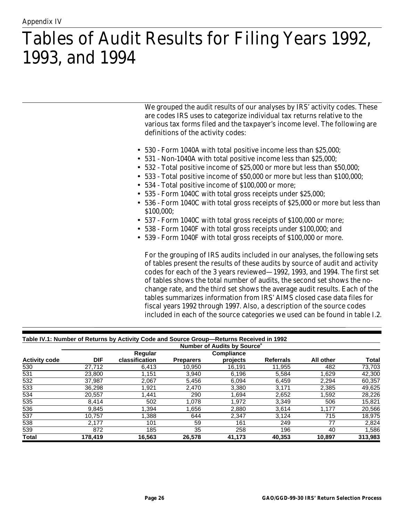### Tables of Audit Results for Filing Years 1992, 1993, and 1994

We grouped the audit results of our analyses by IRS' activity codes. These are codes IRS uses to categorize individual tax returns relative to the various tax forms filed and the taxpayer's income level. The following are definitions of the activity codes:

- 530 Form 1040A with total positive income less than \$25,000;
- 531 Non-1040A with total positive income less than \$25,000;
- 532 Total positive income of \$25,000 or more but less than \$50,000;
- 533 Total positive income of \$50,000 or more but less than \$100,000;
- 534 Total positive income of \$100,000 or more;
- 535 Form 1040C with total gross receipts under \$25,000;
- 536 Form 1040C with total gross receipts of \$25,000 or more but less than \$100,000;
- 537 Form 1040C with total gross receipts of \$100,000 or more;
- 538 Form 1040F with total gross receipts under \$100,000; and
- 539 Form 1040F with total gross receipts of \$100,000 or more.

For the grouping of IRS audits included in our analyses, the following sets of tables present the results of these audits by source of audit and activity codes for each of the 3 years reviewed—1992, 1993, and 1994. The first set of tables shows the total number of audits, the second set shows the nochange rate, and the third set shows the average audit results. Each of the tables summarizes information from IRS' AIMS closed case data files for fiscal years 1992 through 1997. Also, a description of the source codes included in each of the source categories we used can be found in table I.2.

### **Table IV.1: Number of Returns by Activity Code and Source Group—Returns Received in 1992**

|                      | Number of Audits by Source <sup>®</sup> |                |                  |                   |                  |           |         |
|----------------------|-----------------------------------------|----------------|------------------|-------------------|------------------|-----------|---------|
|                      |                                         | Regular        |                  | <b>Compliance</b> |                  |           |         |
| <b>Activity code</b> | <b>DIF</b>                              | classification | <b>Preparers</b> | projects          | <b>Referrals</b> | All other | Total   |
| 530                  | 27,712                                  | 6,413          | 10,950           | 16,191            | 11,955           | 482       | 73,703  |
| 531                  | 23,800                                  | 1,151          | 3,940            | 6,196             | 5,584            | 1,629     | 42,300  |
| $\overline{532}$     | 37,987                                  | 2,067          | 5,456            | 6,094             | 6,459            | 2,294     | 60,357  |
| 533                  | 36,298                                  | 1,921          | 2.470            | 3,380             | 3,171            | 2,385     | 49,625  |
| 534                  | 20,557                                  | 1.441          | 290              | 1,694             | 2,652            | 1,592     | 28,226  |
| 535                  | 8,414                                   | 502            | 078. ا           | 1,972             | 3,349            | 506       | 15,821  |
| 536                  | 9,845                                   | 1,394          | .656             | 2,880             | 3,614            | 1.177     | 20,566  |
| $\overline{537}$     | 10,757                                  | 1,388          | 644              | 2,347             | 3,124            | 715       | 18,975  |
| 538                  | 2,177                                   | 101            | 59               | 161               | 249              | 77        | 2,824   |
| 539                  | 872                                     | 185            | 35               | 258               | 196              | 40        | 1,586   |
| <b>Total</b>         | 178,419                                 | 16.563         | 26,578           | 41,173            | 40,353           | 10,897    | 313,983 |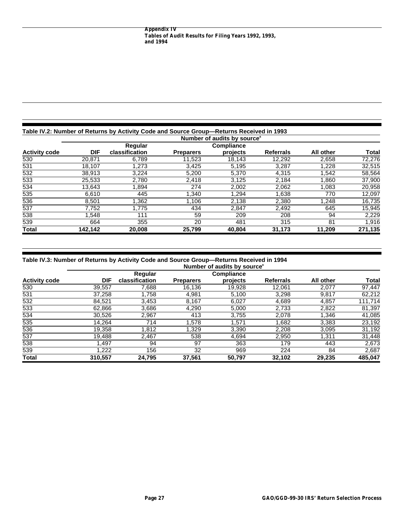|                      |            |                           |                  | Number of audits by source <sup>®</sup> |                  |           |              |
|----------------------|------------|---------------------------|------------------|-----------------------------------------|------------------|-----------|--------------|
| <b>Activity code</b> | <b>DIF</b> | Regular<br>classification | <b>Preparers</b> | Compliance<br>projects                  | <b>Referrals</b> | All other | <b>Total</b> |
| 530                  | 20.871     | 6.789                     | 11,523           | 18,143                                  | 12,292           | 2,658     | 72,276       |
| 531                  | 18.107     | 1.273                     | 3,425            | 5,195                                   | 3,287            | 1,228     | 32,515       |
| 532                  | 38,913     | 3,224                     | 5,200            | 5,370                                   | 4,315            | 1,542     | 58,564       |
| 533                  | 25,533     | 2.780                     | 2,418            | 3,125                                   | 2,184            | 1,860     | 37,900       |
| 534                  | 13.643     | 1,894                     | 274              | 2,002                                   | 2,062            | 1.083     | 20,958       |
| $\overline{535}$     | 6,610      | 445                       | 1,340            | 1,294                                   | 1,638            | 770       | 12,097       |
| 536                  | 8.501      | 1,362                     | 1,106            | 2,138                                   | 2,380            | 1,248     | 16,735       |
| 537                  | 7,752      | 1,775                     | 434              | 2,847                                   | 2,492            | 645       | 15,945       |
| 538                  | 548. ا     | 111                       | 59               | 209                                     | 208              | 94        | 2,229        |
| 539                  | 664        | 355                       | 20               | 481                                     | 315              | 81        | 1,916        |
| Total                | 142.142    | 20,008                    | 25.799           | 40.804                                  | 31,173           | 11.209    | 271,135      |

### **Number of audits by source**<sup>®</sup> **Table IV.3: Number of Returns by Activity Code and Source Group—Returns Received in 1994**

|                      | <b>NUTTIVEL OF AUGHTS DY SOUTCE</b> |                |                  |            |                  |           |         |  |
|----------------------|-------------------------------------|----------------|------------------|------------|------------------|-----------|---------|--|
|                      |                                     | Regular        |                  | Compliance |                  |           |         |  |
| <b>Activity code</b> | DIF                                 | classification | <b>Preparers</b> | projects   | <b>Referrals</b> | All other | Total   |  |
| 530                  | 39,557                              | 7,688          | 16.136           | 19,928     | 12,061           | 2.077     | 97,447  |  |
| 531                  | 37,258                              | 1.758          | 4,981            | 5,100      | 3,298            | 9,817     | 62,212  |  |
| $\overline{532}$     | 84,521                              | 3,453          | 8,167            | 6,027      | 4,689            | 4,857     | 111,714 |  |
| 533                  | 62,866                              | 3,686          | 4,290            | 5,000      | 2,733            | 2,822     | 81,397  |  |
| 534                  | 30,526                              | 2,967          | 413              | 3,755      | 2,078            | 1,346     | 41,085  |  |
| $\overline{535}$     | 14,264                              | 714            | .578             | 1,571      | 1,682            | 3,383     | 23,192  |  |
| 536                  | 19,358                              | 1.812          | 329. ا           | 3,390      | 2,208            | 3,095     | 31,192  |  |
| 537                  | 19,488                              | 2,467          | 538              | 4,694      | 2,950            | 1,311     | 31,448  |  |
| 538                  | 1.497                               | 94             | 97               | 363        | 179              | 443       | 2,673   |  |
| 539                  | 1,222                               | 156            | 32               | 969        | 224              | 84        | 2,687   |  |
| <b>Total</b>         | 310,557                             | 24,795         | 37,561           | 50,797     | 32,102           | 29,235    | 485,047 |  |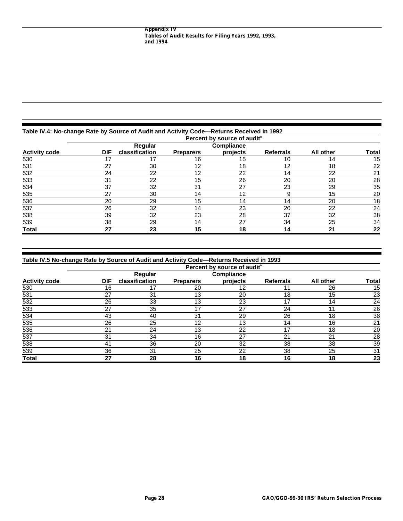| Table IV.4: No-change Rate by Source of Audit and Activity Code—Returns Received in 1992 |            |                |                  |                                         |                  |           |              |
|------------------------------------------------------------------------------------------|------------|----------------|------------------|-----------------------------------------|------------------|-----------|--------------|
|                                                                                          |            |                |                  | Percent by source of audit <sup>ª</sup> |                  |           |              |
|                                                                                          |            | Regular        |                  | <b>Compliance</b>                       |                  |           |              |
| <b>Activity code</b>                                                                     | <b>DIF</b> | classification | <b>Preparers</b> | projects                                | <b>Referrals</b> | All other | <b>Total</b> |
| 530                                                                                      |            | 17             | 16               | 15                                      | 10               | 14        | 15           |
| 531                                                                                      | 27         | 30             | 12               | 18                                      | 12               | 18        | 22           |
| 532                                                                                      | 24         | 22             | 12               | 22                                      | 14               | 22        | 21           |
| 533                                                                                      | 31         | 22             | 15               | 26                                      | 20               | 20        | 28           |
| 534                                                                                      | 37         | 32             | 31               | 27                                      | 23               | 29        | 35           |
| 535                                                                                      | 27         | 30             | 14               | 12                                      | 9                | 15        | 20           |
| 536                                                                                      | 20         | 29             | 15               | 14                                      | 14               | 20        | 18           |
| 537                                                                                      | 26         | 32             | 14               | 23                                      | 20               | 22        | 24           |
| 538                                                                                      | 39         | 32             | 23               | 28                                      | 37               | 32        | 38           |
| 539                                                                                      | 38         | 29             | 14               | 27                                      | 34               | 25        | 34           |
| <b>Total</b>                                                                             | 27         | 23             | 15               | 18                                      | 14               | 21        | 22           |

### **Table IV.5 No-change Rate by Source of Audit and Activity Code—Returns Received in 1993**

|                      | Percent by source of audit <sup>®</sup> |                |                  |                   |                  |           |       |
|----------------------|-----------------------------------------|----------------|------------------|-------------------|------------------|-----------|-------|
|                      |                                         | Regular        |                  | <b>Compliance</b> |                  |           |       |
| <b>Activity code</b> | <b>DIF</b>                              | classification | <b>Preparers</b> | projects          | <b>Referrals</b> | All other | Total |
| 530                  | 16                                      |                | 20               | 12                |                  | 26        | 15    |
| 531                  | 27                                      | 31             | 13               | 20                | 18               | 15        | 23    |
| 532                  | 26                                      | 33             | 13               | 23                | 17               | 14        | 24    |
| 533                  | 27                                      | 35             | 17               | 27                | 24               |           | 26    |
| 534                  | 43                                      | 40             | 31               | 29                | 26               | 18        | 38    |
| 535                  | 26                                      | 25             | 12               | 13                | 14               | 16        | 21    |
| 536                  | 21                                      | 24             | 13               | 22                | 17               | 18        | 20    |
| 537                  | 31                                      | 34             | 16               | 27                | 21               | 21        | 28    |
| 538                  | 41                                      | 36             | 20               | 32                | 38               | 38        | 39    |
| $\overline{539}$     | 36                                      | 31             | 25               | 22                | 38               | 25        | 31    |
| <b>Total</b>         | 27                                      | 28             | 16               | 18                | 16               | 18        | 23    |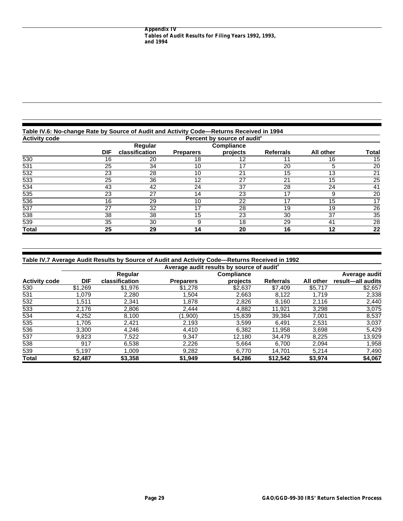| Table IV.6: No-change Rate by Source of Audit and Activity Code-Returns Received in 1994 |            |                |                  |                                         |                  |           |              |  |
|------------------------------------------------------------------------------------------|------------|----------------|------------------|-----------------------------------------|------------------|-----------|--------------|--|
| <b>Activity code</b>                                                                     |            |                |                  | Percent by source of audit <sup>®</sup> |                  |           |              |  |
|                                                                                          |            | Regular        |                  | <b>Compliance</b>                       |                  |           |              |  |
|                                                                                          | <b>DIF</b> | classification | <b>Preparers</b> | projects                                | <b>Referrals</b> | All other | <b>Total</b> |  |
| 530                                                                                      | 16         | 20             | 18               | 12                                      | 11               | 16        | 15           |  |
| 531                                                                                      | 25         | 34             | 10               | 17                                      | 20               | 5         | 20           |  |
| 532                                                                                      | 23         | 28             | 10               | 21                                      | 15               | 13        | 21           |  |
| 533                                                                                      | 25         | 36             | 12               | 27                                      | 21               | 15        | 25           |  |
| 534                                                                                      | 43         | 42             | 24               | 37                                      | 28               | 24        | 41           |  |
| 535                                                                                      | 23         | 27             | 14               | 23                                      | 17               | 9         | 20           |  |
| 536                                                                                      | 16         | 29             | 10               | 22                                      | 17               | 15        | 17           |  |
| 537                                                                                      | 27         | 32             | 17               | 28                                      | 19               | 19        | 26           |  |
| 538                                                                                      | 38         | 38             | 15               | 23                                      | 30               | 37        | 35           |  |
| 539                                                                                      | 35         | 30             | 9                | 18                                      | 29               | 41        | 28           |  |
| <b>Total</b>                                                                             | 25         | 29             | 14               | 20                                      | 16               | 12        | 22           |  |

| Table IV.7 Average Audit Results by Source of Audit and Activity Code-Returns Received in 1992 |                                                       |                |                  |                   |                  |           |                   |  |
|------------------------------------------------------------------------------------------------|-------------------------------------------------------|----------------|------------------|-------------------|------------------|-----------|-------------------|--|
|                                                                                                | Average audit results by source of audit <sup>ª</sup> |                |                  |                   |                  |           |                   |  |
|                                                                                                |                                                       | Regular        |                  | <b>Compliance</b> |                  |           | Average audit     |  |
| <b>Activity code</b>                                                                           | <b>DIF</b>                                            | classification | <b>Preparers</b> | projects          | <b>Referrals</b> | All other | result-all audits |  |
| $\overline{530}$                                                                               | \$1,269                                               | \$1,976        | \$1,278          | \$2,637           | \$7,409          | \$5,717   | \$2,657           |  |
| 531                                                                                            | 1.079                                                 | 2,280          | 1,504            | 2,663             | 8,122            | 1.719     | 2,338             |  |
| $\overline{532}$                                                                               | 1,511                                                 | 2.341          | 1.878            | 2,826             | 8.160            | 2.116     | 2,440             |  |
| $\overline{533}$                                                                               | 2.176                                                 | 2,806          | 2,444            | 4,882             | 11,921           | 3,298     | 3,075             |  |
| 534                                                                                            | 4,252                                                 | 8.100          | (1,900)          | 15,839            | 39.384           | 7.001     | 8,537             |  |
| $\overline{535}$                                                                               | 1,705                                                 | 2.421          | 2,193            | 3,599             | 6.491            | 2,531     | 3,037             |  |
| 536                                                                                            | 3,300                                                 | 4,246          | 4,410            | 6,382             | 11,958           | 3,698     | 5,429             |  |
| $\overline{537}$                                                                               | 9,823                                                 | 7,522          | 9,347            | 12,180            | 34.479           | 8,225     | 13,929            |  |
| 538                                                                                            | 917                                                   | 6,538          | 2,226            | 5,664             | 6,700            | 2,094     | 1,958             |  |
| 539                                                                                            | 5,197                                                 | 1.009          | 9,282            | 6,770             | 14.701           | 5,214     | 7,490             |  |
| <b>Total</b>                                                                                   | \$2,487                                               | \$3,358        | \$1,949          | \$4,286           | \$12,542         | \$3,974   | \$4,067           |  |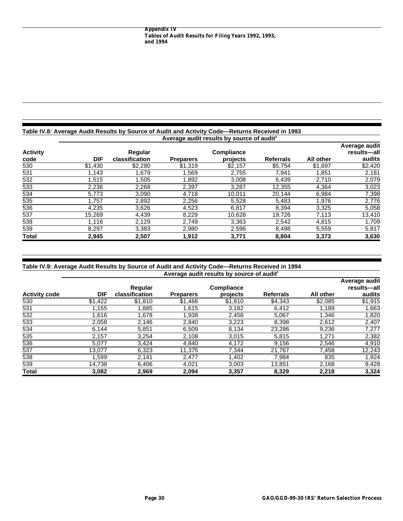### **Average audit results by source of audit<sup>a</sup> Table IV.8: Average Audit Results by Source of Audit and Activity Code—Returns Received in 1993**

| <b>Activity</b>  |            | Regular        |                  | Compliance |                  |                  | Average audit<br>results-all |
|------------------|------------|----------------|------------------|------------|------------------|------------------|------------------------------|
| code             | <b>DIF</b> | classification | <b>Preparers</b> | projects   | <b>Referrals</b> | <b>All other</b> | audits                       |
| 530              | \$1,430    | \$2,280        | \$1,319          | \$2,157    | \$5,754          | \$1,697          | \$2,420                      |
| 531              | 1,143      | 1,679          | 1,569            | 2,755      | 7.941            | 1,851            | 2,181                        |
| 532              | 1,515      | 1,505          | 1,892            | 3,008      | 6,439            | 2,710            | 2,079                        |
| 533              | 2,236      | 2,268          | 2,397            | 3,287      | 12,355           | 4,364            | 3,023                        |
| 534              | 5,773      | 3,090          | 4,718            | 10,011     | 20,144           | 6,984            | 7,398                        |
| 535              | 1,757      | 2,892          | 2,256            | 5,528      | 5,483            | 1,976            | 2,776                        |
| 536              | 4,235      | 3,626          | 4,523            | 6,817      | 8,394            | 3,325            | 5,058                        |
| $\overline{537}$ | 15,269     | 4,439          | 8,229            | 10,628     | 19,726           | 7,113            | 13,410                       |
| 538              | 1.116      | 2,129          | 2,749            | 3,363      | 2,542            | 4,815            | 1,709                        |
| 539              | 8,297      | 3,383          | 2,980            | 2,596      | 8,498            | 5,559            | 5,817                        |
| <b>Total</b>     | 2,945      | 2,507          | 1,912            | 3,771      | 8,804            | 3,373            | 3,630                        |

### Average audit results by source of audit<sup>ª</sup> **Table IV.9: Average Audit Results by Source of Audit and Activity Code—Returns Received in 1994**

|                      |         | Regular        |                  | <b>Compliance</b> |                  |           | Average audit<br>results-all |
|----------------------|---------|----------------|------------------|-------------------|------------------|-----------|------------------------------|
| <b>Activity code</b> | DIF     | classification | <b>Preparers</b> | projects          | <b>Referrals</b> | All other | audits                       |
| 530                  | \$1,422 | \$1,810        | \$1,466          | \$1,810           | \$4,343          | \$2,085   | \$1,915                      |
| 531                  | l,155   | .885           | 1,615            | 3,182             | 6,412            | 189.      | 1,663                        |
| $\overline{532}$     | 1.616   | .678           | 1,938            | 2,458             | 5,067            | 1,346     | 1,820                        |
| 533                  | 2,058   | 2,146          | 2,840            | 3,223             | 8,398            | 2,612     | 2,407                        |
| 534                  | 6,144   | 5,851          | 6,509            | 8,134             | 23,286           | 9,236     | 7,277                        |
| 535                  | 2,157   | 3,254          | 2,108            | 3,015             | 5,815            | 1,271     | 2,382                        |
| 536                  | 5,077   | 3.424          | 4,840            | 4,172             | 9,156            | 2,546     | 4,910                        |
| $\overline{537}$     | 13,077  | 6,323          | 11,375           | 7,344             | 21,767           | 7.458     | 12,243                       |
| 538                  | .599    | 2,141          | 2,477            | 1,402             | 7,984            | 835       | 1,924                        |
| 539                  | 14,738  | 6,406          | 4,021            | 3.003             | 13.851           | 2,168     | 9,428                        |
| Total                | 3,082   | 2,969          | 2,094            | 3,357             | 8,329            | 2,218     | 3,324                        |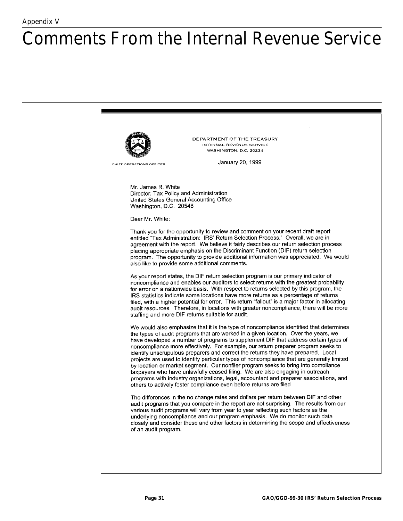# Comments From the Internal Revenue Service

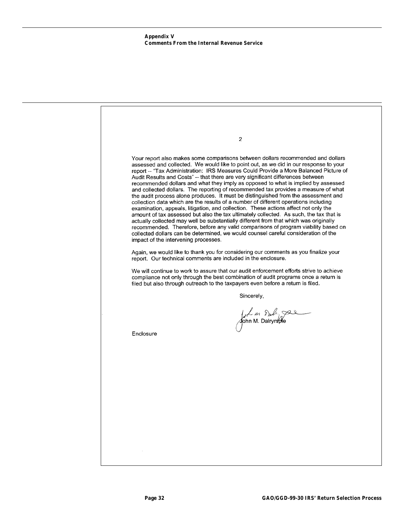$\overline{2}$ Your report also makes some comparisons between dollars recommended and dollars assessed and collected. We would like to point out, as we did in our response to your report -- "Tax Administration: IRS Measures Could Provide a More Balanced Picture of Audit Results and Costs" -- that there are very significant differences between recommended dollars and what they imply as opposed to what is implied by assessed and collected dollars. The reporting of recommended tax provides a measure of what the audit process alone produces. It must be distinguished from the assessment and collection data which are the results of a number of different operations including examination, appeals, litigation, and collection. These actions affect not only the amount of tax assessed but also the tax ultimately collected. As such, the tax that is actually collected may well be substantially different from that which was originally recommended. Therefore, before any valid comparisons of program viability based on collected dollars can be determined, we would counsel careful consideration of the impact of the intervening processes. Again, we would like to thank you for considering our comments as you finalize your report. Our technical comments are included in the enclosure. We will continue to work to assure that our audit enforcement efforts strive to achieve compliance not only through the best combination of audit programs once a return is filed but also through outreach to the taxpayers even before a return is filed. Sincerely. John M. Dah Enclosure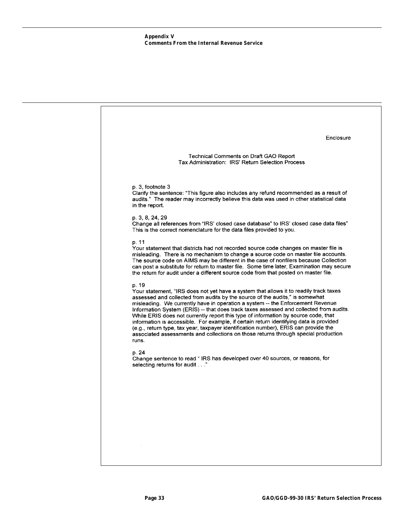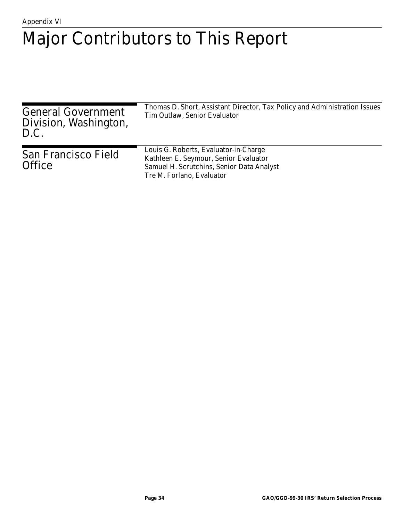# Major Contributors to This Report

| <b>General Government</b><br>Division, Washington,<br>D.C. | Thomas D. Short, Assistant Director, Tax Policy and Administration Issues<br>Tim Outlaw, Senior Evaluator                                                |
|------------------------------------------------------------|----------------------------------------------------------------------------------------------------------------------------------------------------------|
| <b>San Francisco Field</b><br><b>Office</b>                | Louis G. Roberts, Evaluator-in-Charge<br>Kathleen E. Seymour, Senior Evaluator<br>Samuel H. Scrutchins, Senior Data Analyst<br>Tre M. Forlano, Evaluator |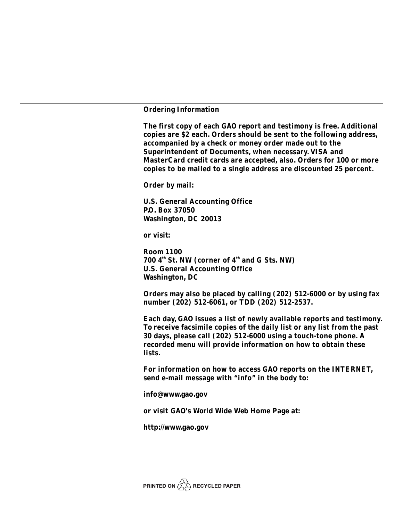### **Ordering Information**

**The first copy of each GAO report and testimony is free. Additional copies are \$2 each. Orders should be sent to the following address, accompanied by a check or money order made out to the Superintendent of Documents, when necessary. VISA and MasterCard credit cards are accepted, also. Orders for 100 or more copies to be mailed to a single address are discounted 25 percent.**

**Order by mail:**

**U.S. General Accounting Office P.O. Box 37050 Washington, DC 20013**

**or visit:**

**Room 1100 700 4th St. NW (corner of 4th and G Sts. NW) U.S. General Accounting Office Washington, DC**

**Orders may also be placed by calling (202) 512-6000 or by using fax number (202) 512-6061, or TDD (202) 512-2537.**

**Each day, GAO issues a list of newly available reports and testimony. To receive facsimile copies of the daily list or any list from the past 30 days, please call (202) 512-6000 using a touch-tone phone. A recorded menu will provide information on how to obtain these lists.**

**For information on how to access GAO reports on the INTERNET, send e-mail message with "info" in the body to:**

**info@www.gao.gov**

**or visit GAO's Wor**l**d Wide Web Home Page at:**

**http://www.gao.gov**